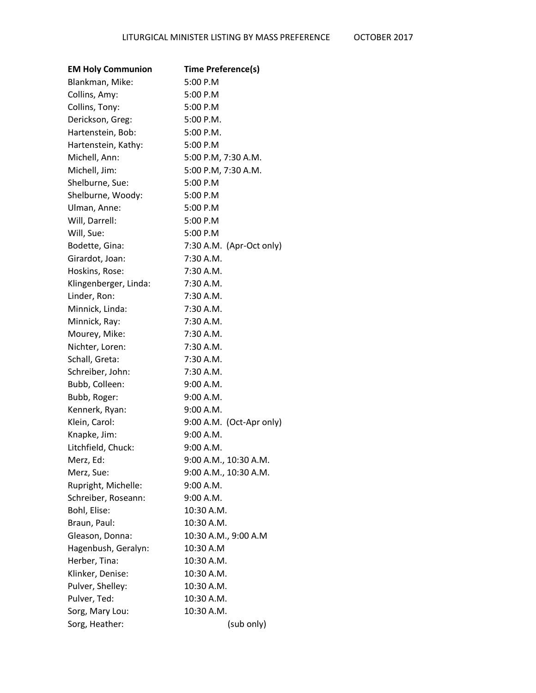| <b>EM Holy Communion</b> | <b>Time Preference(s)</b> |
|--------------------------|---------------------------|
| Blankman, Mike:          | 5:00 P.M                  |
| Collins, Amy:            | 5:00 P.M                  |
| Collins, Tony:           | 5:00 P.M                  |
| Derickson, Greg:         | 5:00 P.M.                 |
| Hartenstein, Bob:        | $5:00$ P.M.               |
| Hartenstein, Kathy:      | 5:00 P.M                  |
| Michell, Ann:            | 5:00 P.M, 7:30 A.M.       |
| Michell, Jim:            | 5:00 P.M, 7:30 A.M.       |
| Shelburne, Sue:          | 5:00 P.M                  |
| Shelburne, Woody:        | 5:00 P.M                  |
| Ulman, Anne:             | 5:00 P.M                  |
| Will, Darrell:           | 5:00 P.M                  |
| Will, Sue:               | 5:00 P.M                  |
| Bodette, Gina:           | 7:30 A.M. (Apr-Oct only)  |
| Girardot, Joan:          | 7:30 A.M.                 |
| Hoskins, Rose:           | $7:30$ A.M.               |
| Klingenberger, Linda:    | 7:30 A.M.                 |
| Linder, Ron:             | 7:30 A.M.                 |
| Minnick, Linda:          | 7:30 A.M.                 |
| Minnick, Ray:            | $7:30$ A.M.               |
| Mourey, Mike:            | $7:30$ A.M.               |
| Nichter, Loren:          | 7:30 A.M.                 |
| Schall, Greta:           | 7:30 A.M.                 |
| Schreiber, John:         | 7:30 A.M.                 |
| Bubb, Colleen:           | 9:00 A.M.                 |
| Bubb, Roger:             | 9:00 A.M.                 |
| Kennerk, Ryan:           | 9:00 A.M.                 |
| Klein, Carol:            | 9:00 A.M. (Oct-Apr only)  |
| Knapke, Jim:             | 9:00 A.M.                 |
| Litchfield, Chuck:       | 9:00 A.M.                 |
| Merz, Ed:                | 9:00 A.M., 10:30 A.M.     |
| Merz, Sue:               | 9:00 A.M., 10:30 A.M.     |
| Rupright, Michelle:      | 9:00 A.M.                 |
| Schreiber, Roseann:      | 9:00 A.M.                 |
| Bohl, Elise:             | 10:30 A.M.                |
| Braun, Paul:             | 10:30 A.M.                |
| Gleason, Donna:          | 10:30 A.M., 9:00 A.M      |
| Hagenbush, Geralyn:      | 10:30 A.M                 |
| Herber, Tina:            | 10:30 A.M.                |
| Klinker, Denise:         | 10:30 A.M.                |
| Pulver, Shelley:         | 10:30 A.M.                |
| Pulver, Ted:             | 10:30 A.M.                |
| Sorg, Mary Lou:          | 10:30 A.M.                |
| Sorg, Heather:           | (sub only)                |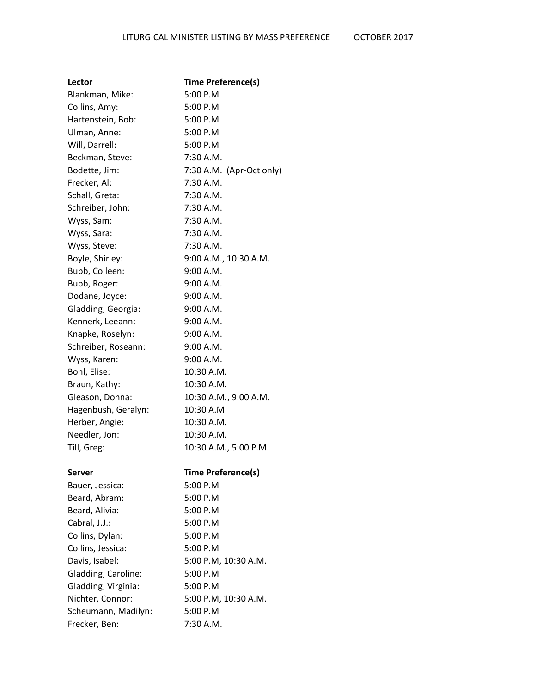| Lector              | Time Preference(s)        |
|---------------------|---------------------------|
| Blankman, Mike:     | 5:00 P.M                  |
| Collins, Amy:       | 5:00 P.M                  |
| Hartenstein, Bob:   | 5:00 P.M                  |
| Ulman, Anne:        | 5:00 P.M                  |
| Will, Darrell:      | 5:00 P.M                  |
| Beckman, Steve:     | $7:30$ A.M.               |
| Bodette, Jim:       | 7:30 A.M. (Apr-Oct only)  |
| Frecker, Al:        | 7:30 A.M.                 |
| Schall, Greta:      | 7:30 A.M.                 |
| Schreiber, John:    | $7:30$ A.M.               |
| Wyss, Sam:          | $7:30$ A.M.               |
| Wyss, Sara:         | 7:30 A.M.                 |
| Wyss, Steve:        | 7:30 A.M.                 |
| Boyle, Shirley:     | 9:00 A.M., 10:30 A.M.     |
| Bubb, Colleen:      | 9:00 A.M.                 |
| Bubb, Roger:        | 9:00 A.M.                 |
| Dodane, Joyce:      | 9:00 A.M.                 |
| Gladding, Georgia:  | 9:00 A.M.                 |
| Kennerk, Leeann:    | 9:00 A.M.                 |
| Knapke, Roselyn:    | 9:00 A.M.                 |
| Schreiber, Roseann: | 9:00 A.M.                 |
| Wyss, Karen:        | 9:00 A.M.                 |
| Bohl, Elise:        | 10:30 A.M.                |
| Braun, Kathy:       | 10:30 A.M.                |
| Gleason, Donna:     | 10:30 A.M., 9:00 A.M.     |
| Hagenbush, Geralyn: | 10:30 A.M                 |
| Herber, Angie:      | 10:30 A.M.                |
| Needler, Jon:       | 10:30 A.M.                |
| Till, Greg:         | 10:30 A.M., 5:00 P.M.     |
| <b>Server</b>       | <b>Time Preference(s)</b> |
| Bauer, Jessica:     | 5:00 P.M                  |
| Beard, Abram:       | 5:00 P.M                  |
| Beard, Alivia:      | 5:00 P.M                  |
| Cabral, J.J.:       | 5:00 P.M                  |
| Collins, Dylan:     | 5:00 P.M                  |

Collins, Jessica: 5:00 P.M

Gladding, Caroline: 5:00 P.M Gladding, Virginia: 5:00 P.M

Scheumann, Madilyn: 5:00 P.M Frecker, Ben: 7:30 A.M.

Davis, Isabel: 5:00 P.M, 10:30 A.M.

Nichter, Connor: 5:00 P.M, 10:30 A.M.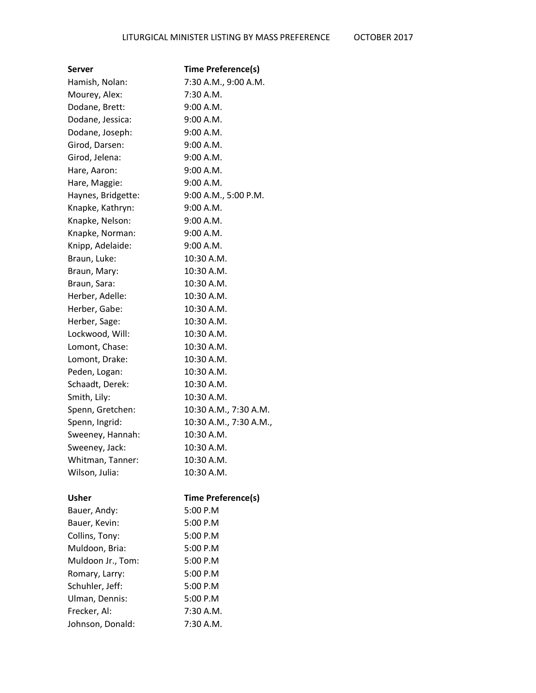| Server             | <b>Time Preference(s)</b> |
|--------------------|---------------------------|
| Hamish, Nolan:     | 7:30 A.M., 9:00 A.M.      |
| Mourey, Alex:      | 7:30 A.M.                 |
| Dodane, Brett:     | 9:00 A.M.                 |
| Dodane, Jessica:   | 9:00 A.M.                 |
| Dodane, Joseph:    | 9:00 A.M.                 |
| Girod, Darsen:     | 9:00 A.M.                 |
| Girod, Jelena:     | 9:00 A.M.                 |
| Hare, Aaron:       | 9:00 A.M.                 |
| Hare, Maggie:      | 9:00 A.M.                 |
| Haynes, Bridgette: | 9:00 A.M., 5:00 P.M.      |
| Knapke, Kathryn:   | 9:00 A.M.                 |
| Knapke, Nelson:    | 9:00 A.M.                 |
| Knapke, Norman:    | 9:00 A.M.                 |
| Knipp, Adelaide:   | 9:00 A.M.                 |
| Braun, Luke:       | 10:30 A.M.                |
| Braun, Mary:       | 10:30 A.M.                |
| Braun, Sara:       | 10:30 A.M.                |
| Herber, Adelle:    | 10:30 A.M.                |
| Herber, Gabe:      | 10:30 A.M.                |
| Herber, Sage:      | 10:30 A.M.                |
| Lockwood, Will:    | 10:30 A.M.                |
| Lomont, Chase:     | 10:30 A.M.                |
| Lomont, Drake:     | 10:30 A.M.                |
| Peden, Logan:      | 10:30 A.M.                |
| Schaadt, Derek:    | 10:30 A.M.                |
| Smith, Lily:       | 10:30 A.M.                |
| Spenn, Gretchen:   | 10:30 A.M., 7:30 A.M.     |
| Spenn, Ingrid:     | 10:30 A.M., 7:30 A.M.,    |
| Sweeney, Hannah:   | 10:30 A.M.                |
| Sweeney, Jack:     | 10:30 A.M.                |
| Whitman, Tanner:   | 10:30 A.M.                |
| Wilson, Julia:     | 10:30 A.M.                |
| Usher              | <b>Time Preference(s)</b> |
| Bauer, Andy:       | 5:00 P.M                  |
| Bauer, Kevin:      | 5:00 P.M                  |
| Collins, Tony:     | 5:00 P.M                  |
| Muldoon, Bria:     | 5:00 P.M                  |
| Muldoon Jr., Tom:  | 5:00 P.M                  |
| Romary, Larry:     | 5:00 P.M                  |
| Schuhler, Jeff:    | 5:00 P.M                  |
| Ulman, Dennis:     | 5:00 P.M                  |
| Frecker, Al:       | 7:30 A.M.                 |
| Johnson, Donald:   | 7:30 A.M.                 |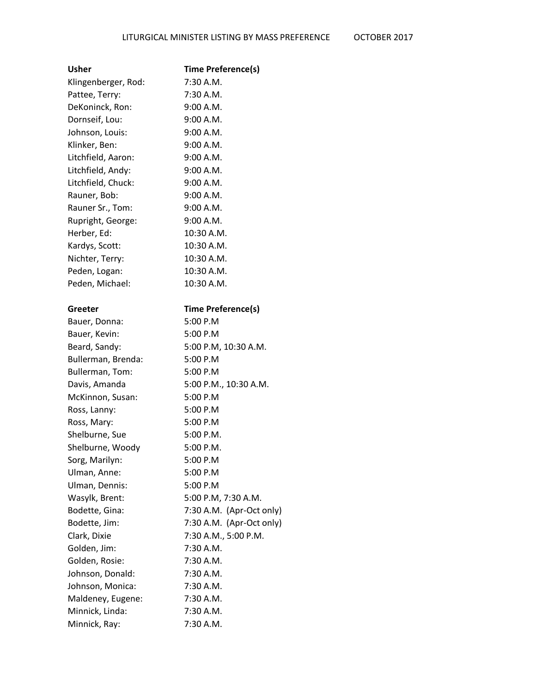| Usher               | <b>Time Preference(s)</b> |
|---------------------|---------------------------|
| Klingenberger, Rod: | 7:30 A.M.                 |
| Pattee, Terry:      | 7:30 A.M.                 |
| DeKoninck, Ron:     | 9:00 A.M.                 |
| Dornseif, Lou:      | 9:00 A.M.                 |
| Johnson, Louis:     | 9:00 A.M.                 |
| Klinker, Ben:       | 9:00 A.M.                 |
| Litchfield, Aaron:  | 9:00 A.M.                 |
| Litchfield, Andy:   | 9:00 A.M.                 |
| Litchfield, Chuck:  | 9:00 A.M.                 |
| Rauner, Bob:        | 9:00 A.M.                 |
| Rauner Sr., Tom:    | 9:00 A.M.                 |
| Rupright, George:   | 9:00 A.M.                 |
| Herber, Ed:         | 10:30 A.M.                |
| Kardys, Scott:      | 10:30 A.M.                |
| Nichter, Terry:     | 10:30 A.M.                |
| Peden, Logan:       | 10:30 A.M.                |
| Peden, Michael:     | 10:30 A.M.                |
|                     |                           |
| Greeter             | <b>Time Preference(s)</b> |
| Bauer, Donna:       | 5:00 P.M                  |
| Bauer, Kevin:       | 5:00 P.M                  |
| Beard, Sandy:       | 5:00 P.M, 10:30 A.M.      |
| Bullerman, Brenda:  | 5:00 P.M                  |
| Bullerman, Tom:     | 5:00 P.M                  |
| Davis, Amanda       | 5:00 P.M., 10:30 A.M.     |
| McKinnon, Susan:    | 5:00 P.M                  |
| Ross, Lanny:        | 5:00 P.M                  |
| Ross, Mary:         | 5:00 P.M                  |
| Shelburne, Sue      | $5:00$ P.M.               |
| Shelburne, Woody    | 5:00 P.M.                 |
| Sorg, Marilyn:      | 5:00 P.M                  |
| Ulman, Anne:        | 5:00 P.M                  |
| Ulman, Dennis:      | 5:00 P.M                  |
| Wasylk, Brent:      | 5:00 P.M, 7:30 A.M.       |
| Bodette, Gina:      | 7:30 A.M. (Apr-Oct only)  |
| Bodette, Jim:       | 7:30 A.M. (Apr-Oct only)  |
| Clark, Dixie        | 7:30 A.M., 5:00 P.M.      |
| Golden, Jim:        | 7:30 A.M.                 |
| Golden, Rosie:      | 7:30 A.M.                 |
| Johnson, Donald:    | 7:30 A.M.                 |
| Johnson, Monica:    | $7:30$ A.M.               |
| Maldeney, Eugene:   | $7:30$ A.M.               |
| Minnick, Linda:     | 7:30 A.M.                 |
| Minnick, Ray:       | 7:30 A.M.                 |